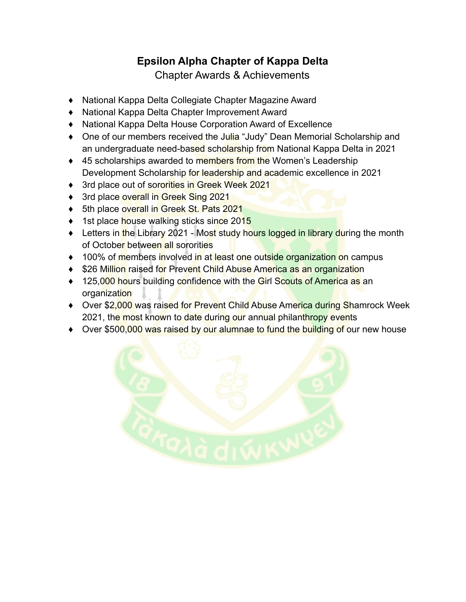## **Epsilon Alpha Chapter of Kappa Delta**

Chapter Awards & Achievements

- ♦ National Kappa Delta Collegiate Chapter Magazine Award
- ♦ National Kappa Delta Chapter Improvement Award
- ♦ National Kappa Delta House Corporation Award of Excellence
- ♦ One of our members received the Julia "Judy" Dean Memorial Scholarship and an undergraduate need-based scholarship from National Kappa Delta in 2021
- ◆ 45 scholarships awarded to members from the Women's Leadership Development Scholarship for leadership and academic excellence in 2021
- ◆ 3rd place out of sororities in Greek Week 2021
- ♦ 3rd place overall in Greek Sing 2021
- ♦ 5th place overall in Greek St. Pats 2021
- ◆ 1st place house walking sticks since 2015
- Letters in the Library 2021 Most study hours logged in library during the month of October between all sororities
- ◆ 100% of members involved in at least one outside organization on campus
- ♦ \$26 Million raised for Prevent Child Abuse America as an organization
- ◆ 125,000 hours building confidence with the Girl Scouts of America as an organization
- ♦ Over \$2,000 was raised for Prevent Child Abuse America during Shamrock Week 2021, the most known to date during our annual philanthropy events
- ◆ Over \$500,000 was raised by our alumnae to fund the building of our new house